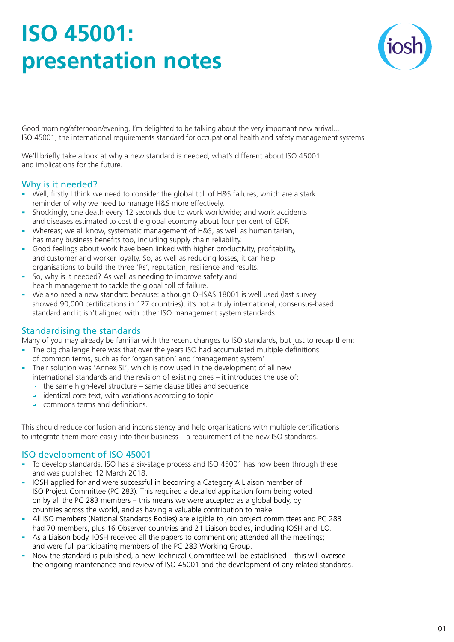# **ISO 45001: presentation notes**



Good morning/afternoon/evening, I'm delighted to be talking about the very important new arrival... ISO 45001, the international requirements standard for occupational health and safety management systems.

We'll briefly take a look at why a new standard is needed, what's different about ISO 45001 and implications for the future.

## Why is it needed?

- Well, firstly I think we need to consider the global toll of H&S failures, which are a stark reminder of why we need to manage H&S more effectively.
- Shockingly, one death every 12 seconds due to work worldwide; and work accidents and diseases estimated to cost the global economy about four per cent of GDP.
- Whereas; we all know, systematic management of H&S, as well as humanitarian, has many business benefits too, including supply chain reliability.
- Good feelings about work have been linked with higher productivity, profitability, and customer and worker loyalty. So, as well as reducing losses, it can help organisations to build the three 'Rs', reputation, resilience and results.
- So, why is it needed? As well as needing to improve safety and health management to tackle the global toll of failure.
- We also need a new standard because: although OHSAS 18001 is well used (last survey showed 90,000 certifications in 127 countries), it's not a truly international, consensus-based standard and it isn't aligned with other ISO management system standards.

# Standardising the standards

Many of you may already be familiar with the recent changes to ISO standards, but just to recap them:

- The big challenge here was that over the years ISO had accumulated multiple definitions of common terms, such as for 'organisation' and 'management system'
- Their solution was 'Annex SL', which is now used in the development of all new international standards and the revision of existing ones – it introduces the use of:
	- $\overline{a}$  the same high-level structure same clause titles and sequence
	- $\overline{a}$  identical core text, with variations according to topic
	- commons terms and definitions.

This should reduce confusion and inconsistency and help organisations with multiple certifications to integrate them more easily into their business – a requirement of the new ISO standards.

# ISO development of ISO 45001

- To develop standards, ISO has a six-stage process and ISO 45001 has now been through these and was published 12 March 2018.
- IOSH applied for and were successful in becoming a Category A Liaison member of ISO Project Committee (PC 283). This required a detailed application form being voted on by all the PC 283 members – this means we were accepted as a global body, by countries across the world, and as having a valuable contribution to make.
- All ISO members (National Standards Bodies) are eligible to join project committees and PC 283 had 70 members, plus 16 Observer countries and 21 Liaison bodies, including IOSH and ILO.
- As a Liaison body, IOSH received all the papers to comment on; attended all the meetings; and were full participating members of the PC 283 Working Group.
- Now the standard is published, a new Technical Committee will be established this will oversee the ongoing maintenance and review of ISO 45001 and the development of any related standards.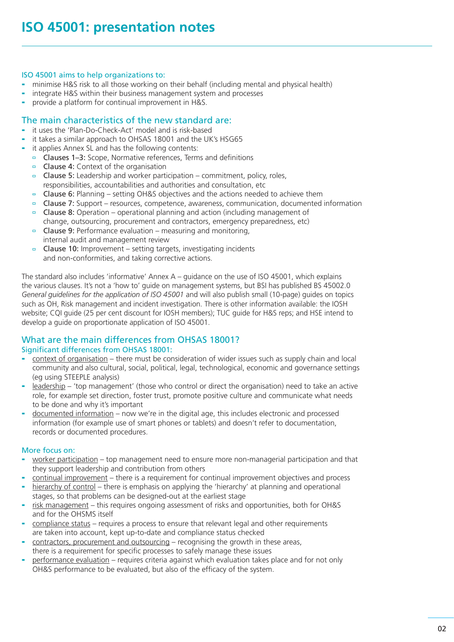#### ISO 45001 aims to help organizations to:

- minimise H&S risk to all those working on their behalf (including mental and physical health)
- integrate H&S within their business management system and processes
- provide a platform for continual improvement in H&S.

## The main characteristics of the new standard are:

- it uses the 'Plan-Do-Check-Act' model and is risk-based
- it takes a similar approach to OHSAS 18001 and the UK's HSG65
- it applies Annex SL and has the following contents:
	- Clauses 1–3: Scope, Normative references, Terms and definitions
	- Clause 4: Context of the organisation  $\Box$
	- Clause 5: Leadership and worker participation commitment, policy, roles,  $\blacksquare$ responsibilities, accountabilities and authorities and consultation, etc
	- **Clause 6:** Planning setting OH&S objectives and the actions needed to achieve them
	- $\Box$  Clause 7: Support resources, competence, awareness, communication, documented information
	- Clause 8: Operation operational planning and action (including management of  $\blacksquare$ change, outsourcing, procurement and contractors, emergency preparedness, etc)
	- Clause 9: Performance evaluation measuring and monitoring,  $\Box$ internal audit and management review
	- Clause 10: Improvement setting targets, investigating incidents  $\Box$ and non-conformities, and taking corrective actions.

The standard also includes 'informative' Annex A – guidance on the use of ISO 45001, which explains the various clauses. It's not a 'how to' guide on management systems, but BSI has published BS 45002.0 *General guidelines for the application of ISO 45001* and will also publish small (10-page) guides on topics such as OH, Risk management and incident investigation. There is other information available: the IOSH website; CQI guide (25 per cent discount for IOSH members); TUC guide for H&S reps; and HSE intend to develop a guide on proportionate application of ISO 45001.

#### What are the main differences from OHSAS 18001? Significant differences from OHSAS 18001:

- context of organisation there must be consideration of wider issues such as supply chain and local community and also cultural, social, political, legal, technological, economic and governance settings (eg using STEEPLE analysis)
- leadership 'top management' (those who control or direct the organisation) need to take an active role, for example set direction, foster trust, promote positive culture and communicate what needs to be done and why it's important
- documented information now we're in the digital age, this includes electronic and processed information (for example use of smart phones or tablets) and doesn't refer to documentation, records or documented procedures.

## More focus on:

- worker participation top management need to ensure more non-managerial participation and that they support leadership and contribution from others
- continual improvement there is a requirement for continual improvement objectives and process
- hierarchy of control there is emphasis on applying the 'hierarchy' at planning and operational stages, so that problems can be designed-out at the earliest stage
- risk management this requires ongoing assessment of risks and opportunities, both for OH&S and for the OHSMS itself
- compliance status requires a process to ensure that relevant legal and other requirements are taken into account, kept up-to-date and compliance status checked
- contractors, procurement and outsourcing recognising the growth in these areas, there is a requirement for specific processes to safely manage these issues
- performance evaluation requires criteria against which evaluation takes place and for not only OH&S performance to be evaluated, but also of the efficacy of the system.